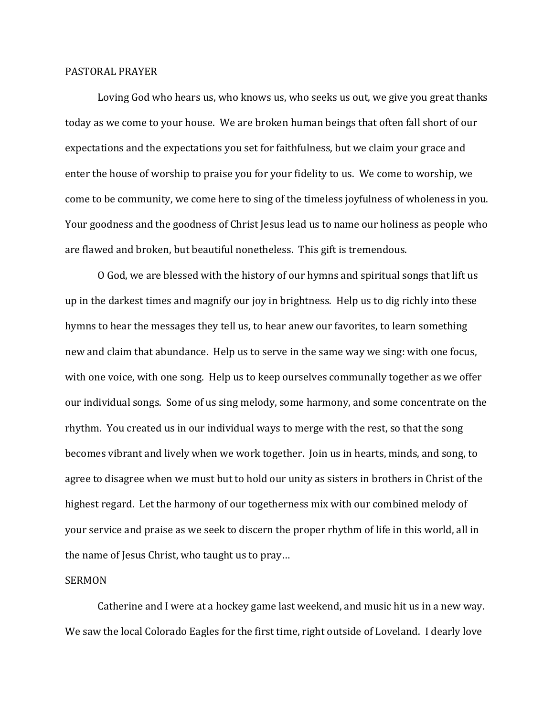## PASTORAL PRAYER

Loving God who hears us, who knows us, who seeks us out, we give you great thanks today as we come to your house. We are broken human beings that often fall short of our expectations and the expectations you set for faithfulness, but we claim your grace and enter the house of worship to praise you for your fidelity to us. We come to worship, we come to be community, we come here to sing of the timeless joyfulness of wholeness in you. Your goodness and the goodness of Christ Jesus lead us to name our holiness as people who are flawed and broken, but beautiful nonetheless. This gift is tremendous.

O God, we are blessed with the history of our hymns and spiritual songs that lift us up in the darkest times and magnify our joy in brightness. Help us to dig richly into these hymns to hear the messages they tell us, to hear anew our favorites, to learn something new and claim that abundance. Help us to serve in the same way we sing: with one focus, with one voice, with one song. Help us to keep ourselves communally together as we offer our individual songs. Some of us sing melody, some harmony, and some concentrate on the rhythm. You created us in our individual ways to merge with the rest, so that the song becomes vibrant and lively when we work together. Join us in hearts, minds, and song, to agree to disagree when we must but to hold our unity as sisters in brothers in Christ of the highest regard. Let the harmony of our togetherness mix with our combined melody of your service and praise as we seek to discern the proper rhythm of life in this world, all in the name of Jesus Christ, who taught us to pray…

## SERMON

Catherine and I were at a hockey game last weekend, and music hit us in a new way. We saw the local Colorado Eagles for the first time, right outside of Loveland. I dearly love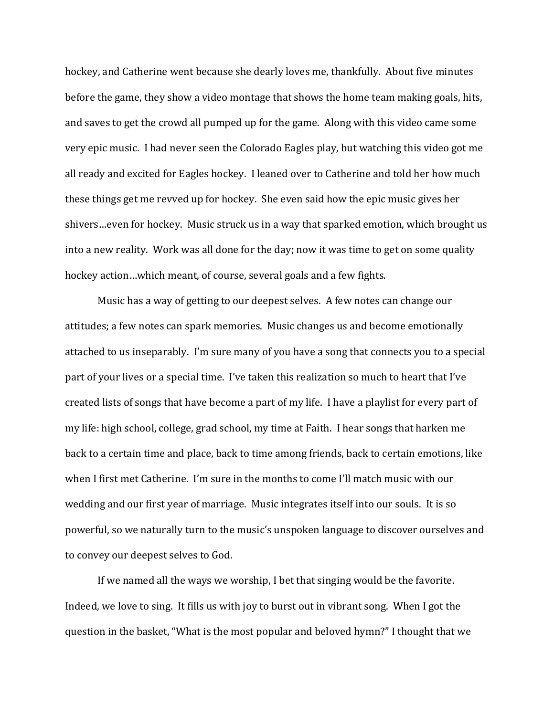hockey, and Catherine went because she dearly loves me, thankfully. About five minutes before the game, they show a video montage that shows the home team making goals, hits, and saves to get the crowd all pumped up for the game. Along with this video came some very epic music. I had never seen the Colorado Eagles play, but watching this video got me all ready and excited for Eagles hockey. I leaned over to Catherine and told her how much these things get me revved up for hockey. She even said how the epic music gives her shivers…even for hockey. Music struck us in a way that sparked emotion, which brought us into a new reality. Work was all done for the day; now it was time to get on some quality hockey action…which meant, of course, several goals and a few fights.

Music has a way of getting to our deepest selves. A few notes can change our attitudes; a few notes can spark memories. Music changes us and become emotionally attached to us inseparably. I'm sure many of you have a song that connects you to a special part of your lives or a special time. I've taken this realization so much to heart that I've created lists of songs that have become a part of my life. I have a playlist for every part of my life: high school, college, grad school, my time at Faith. I hear songs that harken me back to a certain time and place, back to time among friends, back to certain emotions, like when I first met Catherine. I'm sure in the months to come I'll match music with our wedding and our first year of marriage. Music integrates itself into our souls. It is so powerful, so we naturally turn to the music's unspoken language to discover ourselves and to convey our deepest selves to God.

If we named all the ways we worship, I bet that singing would be the favorite. Indeed, we love to sing. It fills us with joy to burst out in vibrant song. When I got the question in the basket, "What is the most popular and beloved hymn?" I thought that we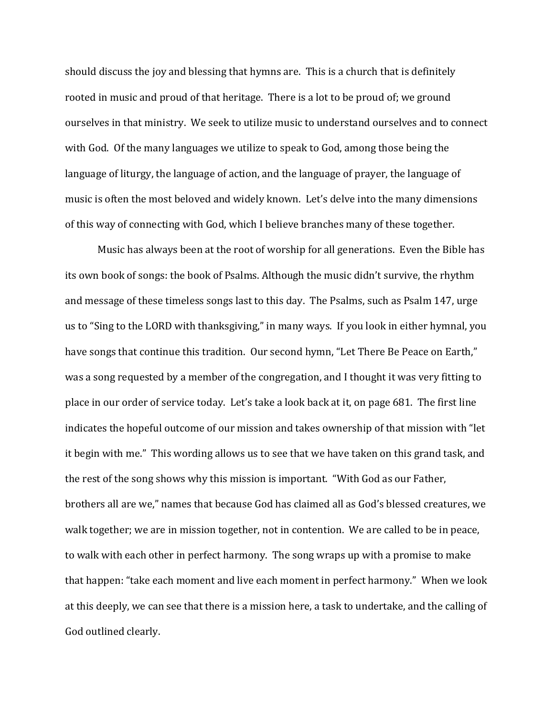should discuss the joy and blessing that hymns are. This is a church that is definitely rooted in music and proud of that heritage. There is a lot to be proud of; we ground ourselves in that ministry. We seek to utilize music to understand ourselves and to connect with God. Of the many languages we utilize to speak to God, among those being the language of liturgy, the language of action, and the language of prayer, the language of music is often the most beloved and widely known. Let's delve into the many dimensions of this way of connecting with God, which I believe branches many of these together.

Music has always been at the root of worship for all generations. Even the Bible has its own book of songs: the book of Psalms. Although the music didn't survive, the rhythm and message of these timeless songs last to this day. The Psalms, such as Psalm 147, urge us to "Sing to the LORD with thanksgiving," in many ways. If you look in either hymnal, you have songs that continue this tradition. Our second hymn, "Let There Be Peace on Earth," was a song requested by a member of the congregation, and I thought it was very fitting to place in our order of service today. Let's take a look back at it, on page 681. The first line indicates the hopeful outcome of our mission and takes ownership of that mission with "let it begin with me." This wording allows us to see that we have taken on this grand task, and the rest of the song shows why this mission is important. "With God as our Father, brothers all are we," names that because God has claimed all as God's blessed creatures, we walk together; we are in mission together, not in contention. We are called to be in peace, to walk with each other in perfect harmony. The song wraps up with a promise to make that happen: "take each moment and live each moment in perfect harmony." When we look at this deeply, we can see that there is a mission here, a task to undertake, and the calling of God outlined clearly.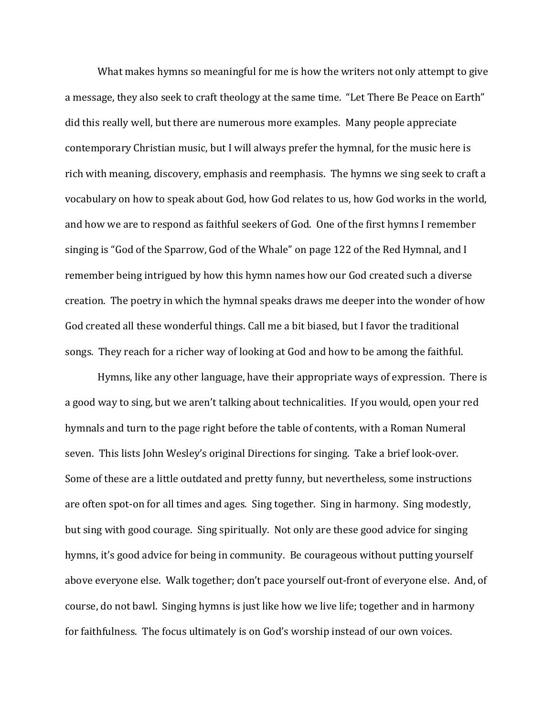What makes hymns so meaningful for me is how the writers not only attempt to give a message, they also seek to craft theology at the same time. "Let There Be Peace on Earth" did this really well, but there are numerous more examples. Many people appreciate contemporary Christian music, but I will always prefer the hymnal, for the music here is rich with meaning, discovery, emphasis and reemphasis. The hymns we sing seek to craft a vocabulary on how to speak about God, how God relates to us, how God works in the world, and how we are to respond as faithful seekers of God. One of the first hymns I remember singing is "God of the Sparrow, God of the Whale" on page 122 of the Red Hymnal, and I remember being intrigued by how this hymn names how our God created such a diverse creation. The poetry in which the hymnal speaks draws me deeper into the wonder of how God created all these wonderful things. Call me a bit biased, but I favor the traditional songs. They reach for a richer way of looking at God and how to be among the faithful.

Hymns, like any other language, have their appropriate ways of expression. There is a good way to sing, but we aren't talking about technicalities. If you would, open your red hymnals and turn to the page right before the table of contents, with a Roman Numeral seven. This lists John Wesley's original Directions for singing. Take a brief look-over. Some of these are a little outdated and pretty funny, but nevertheless, some instructions are often spot-on for all times and ages. Sing together. Sing in harmony. Sing modestly, but sing with good courage. Sing spiritually. Not only are these good advice for singing hymns, it's good advice for being in community. Be courageous without putting yourself above everyone else. Walk together; don't pace yourself out-front of everyone else. And, of course, do not bawl. Singing hymns is just like how we live life; together and in harmony for faithfulness. The focus ultimately is on God's worship instead of our own voices.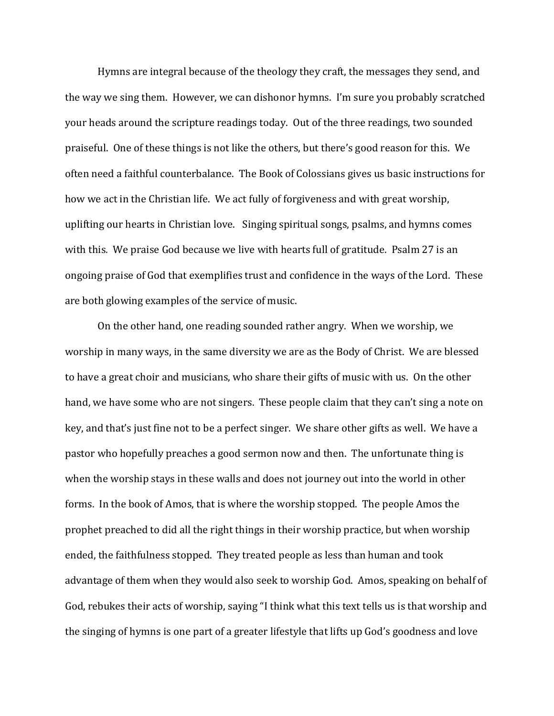Hymns are integral because of the theology they craft, the messages they send, and the way we sing them. However, we can dishonor hymns. I'm sure you probably scratched your heads around the scripture readings today. Out of the three readings, two sounded praiseful. One of these things is not like the others, but there's good reason for this. We often need a faithful counterbalance. The Book of Colossians gives us basic instructions for how we act in the Christian life. We act fully of forgiveness and with great worship, uplifting our hearts in Christian love. Singing spiritual songs, psalms, and hymns comes with this. We praise God because we live with hearts full of gratitude. Psalm 27 is an ongoing praise of God that exemplifies trust and confidence in the ways of the Lord. These are both glowing examples of the service of music.

On the other hand, one reading sounded rather angry. When we worship, we worship in many ways, in the same diversity we are as the Body of Christ. We are blessed to have a great choir and musicians, who share their gifts of music with us. On the other hand, we have some who are not singers. These people claim that they can't sing a note on key, and that's just fine not to be a perfect singer. We share other gifts as well. We have a pastor who hopefully preaches a good sermon now and then. The unfortunate thing is when the worship stays in these walls and does not journey out into the world in other forms. In the book of Amos, that is where the worship stopped. The people Amos the prophet preached to did all the right things in their worship practice, but when worship ended, the faithfulness stopped. They treated people as less than human and took advantage of them when they would also seek to worship God. Amos, speaking on behalf of God, rebukes their acts of worship, saying "I think what this text tells us is that worship and the singing of hymns is one part of a greater lifestyle that lifts up God's goodness and love